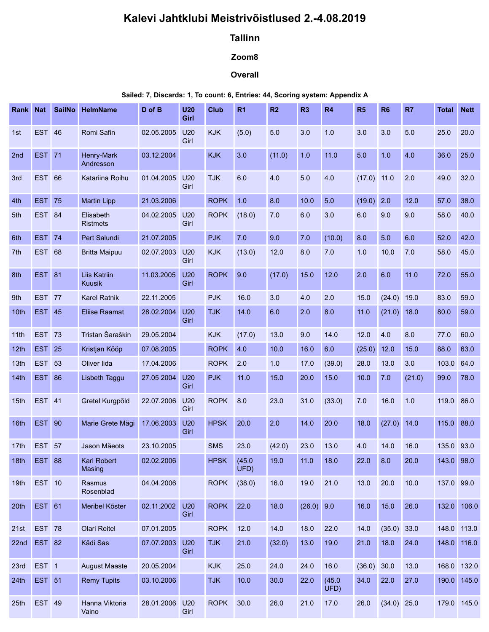# Kalevi Jahtklubi Meistrivõistlused 2.-4.08.2019

# Tallinn

## Zoom8

### **Overall**

#### Sailed: 7, Discards: 1, To count: 6, Entries: 44, Scoring system: Appendix A

| Kalevi Jahtklubi Meistrivõistlused 2.-4.08.2019<br><b>Tallinn</b><br>Zoom8<br>Overall<br>Sailed: 7, Discards: 1, To count: 6, Entries: 44, Scoring system: Appendix A<br>HelmName<br>D of B<br>U20<br><b>Club</b><br>R <sub>1</sub><br>R <sub>3</sub><br>R4<br>R <sub>6</sub><br>R7<br>Rank Nat<br><b>SailNo</b><br><b>R2</b><br>R5<br><b>Total Nett</b><br>Girl<br><b>EST 46</b><br>Romi Safin<br>02.05.2005<br>U20<br><b>KJK</b><br>(5.0)<br>5.0<br>3.0<br>1.0<br>3.0<br>3.0<br>5.0<br>25.0<br>20.0<br>1st<br>Girl<br><b>EST</b> 71<br><b>KJK</b><br>3.0<br>36.0<br>Henry-Mark<br>03.12.2004<br>(11.0)<br>1.0<br>11.0<br>1.0<br>4.0<br>25.0<br>2nd<br>5.0<br>Andresson<br><b>EST 66</b><br>01.04.2005 U20<br><b>TJK</b><br>6.0<br>4.0<br>5.0<br>4.0<br>$(17.0)$ 11.0<br>2.0<br>49.0<br>3rd<br>Katariina Roihu<br>32.0<br>Girl<br>$1.0$<br><b>EST 75</b><br><b>ROPK</b><br>10.0<br>5.0<br>$(19.0)$ 2.0<br>12.0<br>57.0<br>38.0<br><b>Martin Lipp</b><br>21.03.2006<br>8.0<br>4th<br>04.02.2005 U20<br><b>ROPK</b><br>(18.0)<br>5th<br>EST 84<br>Elisabeth<br>7.0<br>6.0<br>3.0<br>9.0<br>9.0<br>58.0<br>40.0<br>6.0<br>Girl<br><b>Ristmets</b><br><b>EST 74</b><br>21.07.2005<br><b>PJK</b><br>7.0<br>9.0<br>(10.0)<br>8.0<br>5.0<br>6.0<br>52.0<br>42.0<br>6th<br>Pert Salundi<br>7.0<br>7.0<br><b>EST 68</b><br>02.07.2003 U20<br><b>KJK</b><br>(13.0)<br>12.0<br>8.0<br>1.0<br>10.0<br>7.0<br>58.0<br>45.0<br>7th<br><b>Britta Maipuu</b><br>Girl<br><b>EST 81</b><br>11.03.2005 U20<br>ROPK 9.0<br>$12.0$<br>11.0<br><b>Liis Katriin</b><br>(17.0)<br>15.0<br>2.0<br>6.0<br>72.0<br>55.0<br>8th<br>Girl<br>Kuusik<br><b>EST 77</b><br>Karel Ratnik<br><b>PJK</b><br>22.11.2005<br>16.0<br>3.0<br>4.0<br>2.0<br>15.0<br>$(24.0)$ 19.0<br>83.0<br>59.0<br>9th<br><b>EST 45</b><br>28.02.2004 U20<br><b>TJK</b><br>14.0<br>6.0<br><b>Eliise Raamat</b><br>2.0<br>8.0<br>$(21.0)$ 18.0<br>80.0<br>59.0<br>10 <sup>th</sup><br>11.0<br>Girl<br>Tristan Šaraškin<br><b>EST 73</b><br>(17.0)<br>29.05.2004<br><b>KJK</b><br>13.0<br>9.0<br>14.0<br>12.0<br>4.0<br>8.0<br>77.0<br>60.0<br>11th<br><b>ROPK</b><br><b>EST</b> 25<br>Kristjan Kööp<br>07.08.2005<br>4.0<br>10.0<br>16.0<br>6.0<br>(25.0)<br>12.0<br>15.0<br>88.0<br>63.0<br>12th<br><b>EST 53</b><br><b>ROPK</b><br>Oliver lida<br>17.04.2006<br>2.0<br>(39.0)<br>13.0<br>3.0<br>103.0 64.0<br>13 <sub>th</sub><br>1.0<br>17.0<br>28.0<br><b>EST 86</b><br>27.05 2004<br><b>U20</b><br><b>PJK</b><br>11.0<br>15.0<br>15.0<br>(21.0)<br>99.0<br>78.0<br>Lisbeth Taggu<br>20.0<br>10.0<br>7.0<br>14th<br>Girl<br>15th EST 41<br>Gretel Kurgpõld<br>ROPK 8.0<br>31.0<br>(33.0)<br>16.0<br>22.07.2006 U20<br>23.0<br>7.0<br>1.0<br>119.0 86.0<br>Girl<br><b>EST 90</b><br>Marie Grete Mägi<br><b>HPSK</b><br>20.0<br>2.0<br>20.0<br>17.06.2003 U20<br>14.0<br>18.0<br>$(27.0)$ 14.0<br>115.0 88.0<br>16th<br>Girl<br>23.0<br><b>EST 57</b><br><b>SMS</b><br>23.0<br>(42.0)<br>13.0<br>14.0<br>16.0<br>135.0 93.0<br>Jason Mäeots<br>23.10.2005<br>4.0<br>17th<br><b>EST 88</b><br>(45.0)<br><b>Karl Robert</b><br>02.02.2006<br><b>HPSK</b><br>19.0<br>18.0<br>8.0<br>20.0<br>143.0 98.0<br>22.0<br>18th<br>11.0<br>UFD)<br>Masing<br><b>EST 10</b><br>04.04.2006<br><b>ROPK</b><br>(38.0)<br>19.0<br>21.0<br>20.0<br>16.0<br>13.0<br>10.0<br>19th<br>Rasmus<br>137.0 99.0<br>Rosenblad<br><b>EST 61</b><br>02.11.2002 U20<br><b>ROPK</b><br>22.0<br>18.0<br>$(26.0)$ 9.0<br>15.0<br>26.0<br>132.0 106.0<br>Meribel Kõster<br>16.0<br>20th<br>Girl<br><b>EST 78</b><br><b>ROPK</b><br><b>Olari Reitel</b><br>07.01.2005<br>12.0<br>14.0<br>18.0<br>22.0<br>14.0<br>$(35.0)$ 33.0<br>148.0 113.0<br>21st<br>22nd EST 82<br>Kädi Sas<br>21.0<br>148.0 116.0<br>07.07.2003 U20<br><b>TJK</b><br>(32.0)<br>13.0<br>19.0<br>21.0<br>18.0<br>24.0<br>Girl<br>EST <sub>1</sub><br><b>KJK</b><br>25.0<br>24.0<br>(36.0)<br><b>August Maaste</b><br>20.05.2004<br>24.0<br>16.0<br>30.0<br>13.0<br>168.0 132.0<br>23rd<br><b>EST 51</b><br><b>Remy Tupits</b><br>03.10.2006<br><b>TJK</b><br>10.0<br>30.0<br>22.0<br>(45.0)<br>34.0<br>22.0<br>27.0<br>190.0 145.0<br>24th<br>UFD)<br><b>ROPK</b><br>30.0<br><b>EST 49</b><br>28.01.2006 U20<br>17.0<br>Hanna Viktoria<br>26.0<br>21.0<br>26.0<br>$(34.0)$ 25.0<br>179.0 145.0<br>25th<br>Girl<br>Vaino |  |  |  |  |  |  |  |  |
|-----------------------------------------------------------------------------------------------------------------------------------------------------------------------------------------------------------------------------------------------------------------------------------------------------------------------------------------------------------------------------------------------------------------------------------------------------------------------------------------------------------------------------------------------------------------------------------------------------------------------------------------------------------------------------------------------------------------------------------------------------------------------------------------------------------------------------------------------------------------------------------------------------------------------------------------------------------------------------------------------------------------------------------------------------------------------------------------------------------------------------------------------------------------------------------------------------------------------------------------------------------------------------------------------------------------------------------------------------------------------------------------------------------------------------------------------------------------------------------------------------------------------------------------------------------------------------------------------------------------------------------------------------------------------------------------------------------------------------------------------------------------------------------------------------------------------------------------------------------------------------------------------------------------------------------------------------------------------------------------------------------------------------------------------------------------------------------------------------------------------------------------------------------------------------------------------------------------------------------------------------------------------------------------------------------------------------------------------------------------------------------------------------------------------------------------------------------------------------------------------------------------------------------------------------------------------------------------------------------------------------------------------------------------------------------------------------------------------------------------------------------------------------------------------------------------------------------------------------------------------------------------------------------------------------------------------------------------------------------------------------------------------------------------------------------------------------------------------------------------------------------------------------------------------------------------------------------------------------------------------------------------------------------------------------------------------------------------------------------------------------------------------------------------------------------------------------------------------------------------------------------------------------------------------------------------------------------------------------------------------------------------------------------------------------------------------------------------------------------------------------------------------------------------------------------------------------------------------------------------------------------------------------------------------------------------------------------------------------------------------------------------------------------------------------------------------------------------------------------------------------------------------------------------------------------------------------------------------------------------------------------------------------------------------------|--|--|--|--|--|--|--|--|
|                                                                                                                                                                                                                                                                                                                                                                                                                                                                                                                                                                                                                                                                                                                                                                                                                                                                                                                                                                                                                                                                                                                                                                                                                                                                                                                                                                                                                                                                                                                                                                                                                                                                                                                                                                                                                                                                                                                                                                                                                                                                                                                                                                                                                                                                                                                                                                                                                                                                                                                                                                                                                                                                                                                                                                                                                                                                                                                                                                                                                                                                                                                                                                                                                                                                                                                                                                                                                                                                                                                                                                                                                                                                                                                                                                                                                                                                                                                                                                                                                                                                                                                                                                                                                                                                                                     |  |  |  |  |  |  |  |  |
|                                                                                                                                                                                                                                                                                                                                                                                                                                                                                                                                                                                                                                                                                                                                                                                                                                                                                                                                                                                                                                                                                                                                                                                                                                                                                                                                                                                                                                                                                                                                                                                                                                                                                                                                                                                                                                                                                                                                                                                                                                                                                                                                                                                                                                                                                                                                                                                                                                                                                                                                                                                                                                                                                                                                                                                                                                                                                                                                                                                                                                                                                                                                                                                                                                                                                                                                                                                                                                                                                                                                                                                                                                                                                                                                                                                                                                                                                                                                                                                                                                                                                                                                                                                                                                                                                                     |  |  |  |  |  |  |  |  |
|                                                                                                                                                                                                                                                                                                                                                                                                                                                                                                                                                                                                                                                                                                                                                                                                                                                                                                                                                                                                                                                                                                                                                                                                                                                                                                                                                                                                                                                                                                                                                                                                                                                                                                                                                                                                                                                                                                                                                                                                                                                                                                                                                                                                                                                                                                                                                                                                                                                                                                                                                                                                                                                                                                                                                                                                                                                                                                                                                                                                                                                                                                                                                                                                                                                                                                                                                                                                                                                                                                                                                                                                                                                                                                                                                                                                                                                                                                                                                                                                                                                                                                                                                                                                                                                                                                     |  |  |  |  |  |  |  |  |
|                                                                                                                                                                                                                                                                                                                                                                                                                                                                                                                                                                                                                                                                                                                                                                                                                                                                                                                                                                                                                                                                                                                                                                                                                                                                                                                                                                                                                                                                                                                                                                                                                                                                                                                                                                                                                                                                                                                                                                                                                                                                                                                                                                                                                                                                                                                                                                                                                                                                                                                                                                                                                                                                                                                                                                                                                                                                                                                                                                                                                                                                                                                                                                                                                                                                                                                                                                                                                                                                                                                                                                                                                                                                                                                                                                                                                                                                                                                                                                                                                                                                                                                                                                                                                                                                                                     |  |  |  |  |  |  |  |  |
|                                                                                                                                                                                                                                                                                                                                                                                                                                                                                                                                                                                                                                                                                                                                                                                                                                                                                                                                                                                                                                                                                                                                                                                                                                                                                                                                                                                                                                                                                                                                                                                                                                                                                                                                                                                                                                                                                                                                                                                                                                                                                                                                                                                                                                                                                                                                                                                                                                                                                                                                                                                                                                                                                                                                                                                                                                                                                                                                                                                                                                                                                                                                                                                                                                                                                                                                                                                                                                                                                                                                                                                                                                                                                                                                                                                                                                                                                                                                                                                                                                                                                                                                                                                                                                                                                                     |  |  |  |  |  |  |  |  |
|                                                                                                                                                                                                                                                                                                                                                                                                                                                                                                                                                                                                                                                                                                                                                                                                                                                                                                                                                                                                                                                                                                                                                                                                                                                                                                                                                                                                                                                                                                                                                                                                                                                                                                                                                                                                                                                                                                                                                                                                                                                                                                                                                                                                                                                                                                                                                                                                                                                                                                                                                                                                                                                                                                                                                                                                                                                                                                                                                                                                                                                                                                                                                                                                                                                                                                                                                                                                                                                                                                                                                                                                                                                                                                                                                                                                                                                                                                                                                                                                                                                                                                                                                                                                                                                                                                     |  |  |  |  |  |  |  |  |
|                                                                                                                                                                                                                                                                                                                                                                                                                                                                                                                                                                                                                                                                                                                                                                                                                                                                                                                                                                                                                                                                                                                                                                                                                                                                                                                                                                                                                                                                                                                                                                                                                                                                                                                                                                                                                                                                                                                                                                                                                                                                                                                                                                                                                                                                                                                                                                                                                                                                                                                                                                                                                                                                                                                                                                                                                                                                                                                                                                                                                                                                                                                                                                                                                                                                                                                                                                                                                                                                                                                                                                                                                                                                                                                                                                                                                                                                                                                                                                                                                                                                                                                                                                                                                                                                                                     |  |  |  |  |  |  |  |  |
|                                                                                                                                                                                                                                                                                                                                                                                                                                                                                                                                                                                                                                                                                                                                                                                                                                                                                                                                                                                                                                                                                                                                                                                                                                                                                                                                                                                                                                                                                                                                                                                                                                                                                                                                                                                                                                                                                                                                                                                                                                                                                                                                                                                                                                                                                                                                                                                                                                                                                                                                                                                                                                                                                                                                                                                                                                                                                                                                                                                                                                                                                                                                                                                                                                                                                                                                                                                                                                                                                                                                                                                                                                                                                                                                                                                                                                                                                                                                                                                                                                                                                                                                                                                                                                                                                                     |  |  |  |  |  |  |  |  |
|                                                                                                                                                                                                                                                                                                                                                                                                                                                                                                                                                                                                                                                                                                                                                                                                                                                                                                                                                                                                                                                                                                                                                                                                                                                                                                                                                                                                                                                                                                                                                                                                                                                                                                                                                                                                                                                                                                                                                                                                                                                                                                                                                                                                                                                                                                                                                                                                                                                                                                                                                                                                                                                                                                                                                                                                                                                                                                                                                                                                                                                                                                                                                                                                                                                                                                                                                                                                                                                                                                                                                                                                                                                                                                                                                                                                                                                                                                                                                                                                                                                                                                                                                                                                                                                                                                     |  |  |  |  |  |  |  |  |
|                                                                                                                                                                                                                                                                                                                                                                                                                                                                                                                                                                                                                                                                                                                                                                                                                                                                                                                                                                                                                                                                                                                                                                                                                                                                                                                                                                                                                                                                                                                                                                                                                                                                                                                                                                                                                                                                                                                                                                                                                                                                                                                                                                                                                                                                                                                                                                                                                                                                                                                                                                                                                                                                                                                                                                                                                                                                                                                                                                                                                                                                                                                                                                                                                                                                                                                                                                                                                                                                                                                                                                                                                                                                                                                                                                                                                                                                                                                                                                                                                                                                                                                                                                                                                                                                                                     |  |  |  |  |  |  |  |  |
|                                                                                                                                                                                                                                                                                                                                                                                                                                                                                                                                                                                                                                                                                                                                                                                                                                                                                                                                                                                                                                                                                                                                                                                                                                                                                                                                                                                                                                                                                                                                                                                                                                                                                                                                                                                                                                                                                                                                                                                                                                                                                                                                                                                                                                                                                                                                                                                                                                                                                                                                                                                                                                                                                                                                                                                                                                                                                                                                                                                                                                                                                                                                                                                                                                                                                                                                                                                                                                                                                                                                                                                                                                                                                                                                                                                                                                                                                                                                                                                                                                                                                                                                                                                                                                                                                                     |  |  |  |  |  |  |  |  |
|                                                                                                                                                                                                                                                                                                                                                                                                                                                                                                                                                                                                                                                                                                                                                                                                                                                                                                                                                                                                                                                                                                                                                                                                                                                                                                                                                                                                                                                                                                                                                                                                                                                                                                                                                                                                                                                                                                                                                                                                                                                                                                                                                                                                                                                                                                                                                                                                                                                                                                                                                                                                                                                                                                                                                                                                                                                                                                                                                                                                                                                                                                                                                                                                                                                                                                                                                                                                                                                                                                                                                                                                                                                                                                                                                                                                                                                                                                                                                                                                                                                                                                                                                                                                                                                                                                     |  |  |  |  |  |  |  |  |
|                                                                                                                                                                                                                                                                                                                                                                                                                                                                                                                                                                                                                                                                                                                                                                                                                                                                                                                                                                                                                                                                                                                                                                                                                                                                                                                                                                                                                                                                                                                                                                                                                                                                                                                                                                                                                                                                                                                                                                                                                                                                                                                                                                                                                                                                                                                                                                                                                                                                                                                                                                                                                                                                                                                                                                                                                                                                                                                                                                                                                                                                                                                                                                                                                                                                                                                                                                                                                                                                                                                                                                                                                                                                                                                                                                                                                                                                                                                                                                                                                                                                                                                                                                                                                                                                                                     |  |  |  |  |  |  |  |  |
|                                                                                                                                                                                                                                                                                                                                                                                                                                                                                                                                                                                                                                                                                                                                                                                                                                                                                                                                                                                                                                                                                                                                                                                                                                                                                                                                                                                                                                                                                                                                                                                                                                                                                                                                                                                                                                                                                                                                                                                                                                                                                                                                                                                                                                                                                                                                                                                                                                                                                                                                                                                                                                                                                                                                                                                                                                                                                                                                                                                                                                                                                                                                                                                                                                                                                                                                                                                                                                                                                                                                                                                                                                                                                                                                                                                                                                                                                                                                                                                                                                                                                                                                                                                                                                                                                                     |  |  |  |  |  |  |  |  |
|                                                                                                                                                                                                                                                                                                                                                                                                                                                                                                                                                                                                                                                                                                                                                                                                                                                                                                                                                                                                                                                                                                                                                                                                                                                                                                                                                                                                                                                                                                                                                                                                                                                                                                                                                                                                                                                                                                                                                                                                                                                                                                                                                                                                                                                                                                                                                                                                                                                                                                                                                                                                                                                                                                                                                                                                                                                                                                                                                                                                                                                                                                                                                                                                                                                                                                                                                                                                                                                                                                                                                                                                                                                                                                                                                                                                                                                                                                                                                                                                                                                                                                                                                                                                                                                                                                     |  |  |  |  |  |  |  |  |
|                                                                                                                                                                                                                                                                                                                                                                                                                                                                                                                                                                                                                                                                                                                                                                                                                                                                                                                                                                                                                                                                                                                                                                                                                                                                                                                                                                                                                                                                                                                                                                                                                                                                                                                                                                                                                                                                                                                                                                                                                                                                                                                                                                                                                                                                                                                                                                                                                                                                                                                                                                                                                                                                                                                                                                                                                                                                                                                                                                                                                                                                                                                                                                                                                                                                                                                                                                                                                                                                                                                                                                                                                                                                                                                                                                                                                                                                                                                                                                                                                                                                                                                                                                                                                                                                                                     |  |  |  |  |  |  |  |  |
|                                                                                                                                                                                                                                                                                                                                                                                                                                                                                                                                                                                                                                                                                                                                                                                                                                                                                                                                                                                                                                                                                                                                                                                                                                                                                                                                                                                                                                                                                                                                                                                                                                                                                                                                                                                                                                                                                                                                                                                                                                                                                                                                                                                                                                                                                                                                                                                                                                                                                                                                                                                                                                                                                                                                                                                                                                                                                                                                                                                                                                                                                                                                                                                                                                                                                                                                                                                                                                                                                                                                                                                                                                                                                                                                                                                                                                                                                                                                                                                                                                                                                                                                                                                                                                                                                                     |  |  |  |  |  |  |  |  |
|                                                                                                                                                                                                                                                                                                                                                                                                                                                                                                                                                                                                                                                                                                                                                                                                                                                                                                                                                                                                                                                                                                                                                                                                                                                                                                                                                                                                                                                                                                                                                                                                                                                                                                                                                                                                                                                                                                                                                                                                                                                                                                                                                                                                                                                                                                                                                                                                                                                                                                                                                                                                                                                                                                                                                                                                                                                                                                                                                                                                                                                                                                                                                                                                                                                                                                                                                                                                                                                                                                                                                                                                                                                                                                                                                                                                                                                                                                                                                                                                                                                                                                                                                                                                                                                                                                     |  |  |  |  |  |  |  |  |
|                                                                                                                                                                                                                                                                                                                                                                                                                                                                                                                                                                                                                                                                                                                                                                                                                                                                                                                                                                                                                                                                                                                                                                                                                                                                                                                                                                                                                                                                                                                                                                                                                                                                                                                                                                                                                                                                                                                                                                                                                                                                                                                                                                                                                                                                                                                                                                                                                                                                                                                                                                                                                                                                                                                                                                                                                                                                                                                                                                                                                                                                                                                                                                                                                                                                                                                                                                                                                                                                                                                                                                                                                                                                                                                                                                                                                                                                                                                                                                                                                                                                                                                                                                                                                                                                                                     |  |  |  |  |  |  |  |  |
|                                                                                                                                                                                                                                                                                                                                                                                                                                                                                                                                                                                                                                                                                                                                                                                                                                                                                                                                                                                                                                                                                                                                                                                                                                                                                                                                                                                                                                                                                                                                                                                                                                                                                                                                                                                                                                                                                                                                                                                                                                                                                                                                                                                                                                                                                                                                                                                                                                                                                                                                                                                                                                                                                                                                                                                                                                                                                                                                                                                                                                                                                                                                                                                                                                                                                                                                                                                                                                                                                                                                                                                                                                                                                                                                                                                                                                                                                                                                                                                                                                                                                                                                                                                                                                                                                                     |  |  |  |  |  |  |  |  |
|                                                                                                                                                                                                                                                                                                                                                                                                                                                                                                                                                                                                                                                                                                                                                                                                                                                                                                                                                                                                                                                                                                                                                                                                                                                                                                                                                                                                                                                                                                                                                                                                                                                                                                                                                                                                                                                                                                                                                                                                                                                                                                                                                                                                                                                                                                                                                                                                                                                                                                                                                                                                                                                                                                                                                                                                                                                                                                                                                                                                                                                                                                                                                                                                                                                                                                                                                                                                                                                                                                                                                                                                                                                                                                                                                                                                                                                                                                                                                                                                                                                                                                                                                                                                                                                                                                     |  |  |  |  |  |  |  |  |
|                                                                                                                                                                                                                                                                                                                                                                                                                                                                                                                                                                                                                                                                                                                                                                                                                                                                                                                                                                                                                                                                                                                                                                                                                                                                                                                                                                                                                                                                                                                                                                                                                                                                                                                                                                                                                                                                                                                                                                                                                                                                                                                                                                                                                                                                                                                                                                                                                                                                                                                                                                                                                                                                                                                                                                                                                                                                                                                                                                                                                                                                                                                                                                                                                                                                                                                                                                                                                                                                                                                                                                                                                                                                                                                                                                                                                                                                                                                                                                                                                                                                                                                                                                                                                                                                                                     |  |  |  |  |  |  |  |  |
|                                                                                                                                                                                                                                                                                                                                                                                                                                                                                                                                                                                                                                                                                                                                                                                                                                                                                                                                                                                                                                                                                                                                                                                                                                                                                                                                                                                                                                                                                                                                                                                                                                                                                                                                                                                                                                                                                                                                                                                                                                                                                                                                                                                                                                                                                                                                                                                                                                                                                                                                                                                                                                                                                                                                                                                                                                                                                                                                                                                                                                                                                                                                                                                                                                                                                                                                                                                                                                                                                                                                                                                                                                                                                                                                                                                                                                                                                                                                                                                                                                                                                                                                                                                                                                                                                                     |  |  |  |  |  |  |  |  |
|                                                                                                                                                                                                                                                                                                                                                                                                                                                                                                                                                                                                                                                                                                                                                                                                                                                                                                                                                                                                                                                                                                                                                                                                                                                                                                                                                                                                                                                                                                                                                                                                                                                                                                                                                                                                                                                                                                                                                                                                                                                                                                                                                                                                                                                                                                                                                                                                                                                                                                                                                                                                                                                                                                                                                                                                                                                                                                                                                                                                                                                                                                                                                                                                                                                                                                                                                                                                                                                                                                                                                                                                                                                                                                                                                                                                                                                                                                                                                                                                                                                                                                                                                                                                                                                                                                     |  |  |  |  |  |  |  |  |
|                                                                                                                                                                                                                                                                                                                                                                                                                                                                                                                                                                                                                                                                                                                                                                                                                                                                                                                                                                                                                                                                                                                                                                                                                                                                                                                                                                                                                                                                                                                                                                                                                                                                                                                                                                                                                                                                                                                                                                                                                                                                                                                                                                                                                                                                                                                                                                                                                                                                                                                                                                                                                                                                                                                                                                                                                                                                                                                                                                                                                                                                                                                                                                                                                                                                                                                                                                                                                                                                                                                                                                                                                                                                                                                                                                                                                                                                                                                                                                                                                                                                                                                                                                                                                                                                                                     |  |  |  |  |  |  |  |  |
|                                                                                                                                                                                                                                                                                                                                                                                                                                                                                                                                                                                                                                                                                                                                                                                                                                                                                                                                                                                                                                                                                                                                                                                                                                                                                                                                                                                                                                                                                                                                                                                                                                                                                                                                                                                                                                                                                                                                                                                                                                                                                                                                                                                                                                                                                                                                                                                                                                                                                                                                                                                                                                                                                                                                                                                                                                                                                                                                                                                                                                                                                                                                                                                                                                                                                                                                                                                                                                                                                                                                                                                                                                                                                                                                                                                                                                                                                                                                                                                                                                                                                                                                                                                                                                                                                                     |  |  |  |  |  |  |  |  |
|                                                                                                                                                                                                                                                                                                                                                                                                                                                                                                                                                                                                                                                                                                                                                                                                                                                                                                                                                                                                                                                                                                                                                                                                                                                                                                                                                                                                                                                                                                                                                                                                                                                                                                                                                                                                                                                                                                                                                                                                                                                                                                                                                                                                                                                                                                                                                                                                                                                                                                                                                                                                                                                                                                                                                                                                                                                                                                                                                                                                                                                                                                                                                                                                                                                                                                                                                                                                                                                                                                                                                                                                                                                                                                                                                                                                                                                                                                                                                                                                                                                                                                                                                                                                                                                                                                     |  |  |  |  |  |  |  |  |
|                                                                                                                                                                                                                                                                                                                                                                                                                                                                                                                                                                                                                                                                                                                                                                                                                                                                                                                                                                                                                                                                                                                                                                                                                                                                                                                                                                                                                                                                                                                                                                                                                                                                                                                                                                                                                                                                                                                                                                                                                                                                                                                                                                                                                                                                                                                                                                                                                                                                                                                                                                                                                                                                                                                                                                                                                                                                                                                                                                                                                                                                                                                                                                                                                                                                                                                                                                                                                                                                                                                                                                                                                                                                                                                                                                                                                                                                                                                                                                                                                                                                                                                                                                                                                                                                                                     |  |  |  |  |  |  |  |  |
|                                                                                                                                                                                                                                                                                                                                                                                                                                                                                                                                                                                                                                                                                                                                                                                                                                                                                                                                                                                                                                                                                                                                                                                                                                                                                                                                                                                                                                                                                                                                                                                                                                                                                                                                                                                                                                                                                                                                                                                                                                                                                                                                                                                                                                                                                                                                                                                                                                                                                                                                                                                                                                                                                                                                                                                                                                                                                                                                                                                                                                                                                                                                                                                                                                                                                                                                                                                                                                                                                                                                                                                                                                                                                                                                                                                                                                                                                                                                                                                                                                                                                                                                                                                                                                                                                                     |  |  |  |  |  |  |  |  |
|                                                                                                                                                                                                                                                                                                                                                                                                                                                                                                                                                                                                                                                                                                                                                                                                                                                                                                                                                                                                                                                                                                                                                                                                                                                                                                                                                                                                                                                                                                                                                                                                                                                                                                                                                                                                                                                                                                                                                                                                                                                                                                                                                                                                                                                                                                                                                                                                                                                                                                                                                                                                                                                                                                                                                                                                                                                                                                                                                                                                                                                                                                                                                                                                                                                                                                                                                                                                                                                                                                                                                                                                                                                                                                                                                                                                                                                                                                                                                                                                                                                                                                                                                                                                                                                                                                     |  |  |  |  |  |  |  |  |
|                                                                                                                                                                                                                                                                                                                                                                                                                                                                                                                                                                                                                                                                                                                                                                                                                                                                                                                                                                                                                                                                                                                                                                                                                                                                                                                                                                                                                                                                                                                                                                                                                                                                                                                                                                                                                                                                                                                                                                                                                                                                                                                                                                                                                                                                                                                                                                                                                                                                                                                                                                                                                                                                                                                                                                                                                                                                                                                                                                                                                                                                                                                                                                                                                                                                                                                                                                                                                                                                                                                                                                                                                                                                                                                                                                                                                                                                                                                                                                                                                                                                                                                                                                                                                                                                                                     |  |  |  |  |  |  |  |  |
|                                                                                                                                                                                                                                                                                                                                                                                                                                                                                                                                                                                                                                                                                                                                                                                                                                                                                                                                                                                                                                                                                                                                                                                                                                                                                                                                                                                                                                                                                                                                                                                                                                                                                                                                                                                                                                                                                                                                                                                                                                                                                                                                                                                                                                                                                                                                                                                                                                                                                                                                                                                                                                                                                                                                                                                                                                                                                                                                                                                                                                                                                                                                                                                                                                                                                                                                                                                                                                                                                                                                                                                                                                                                                                                                                                                                                                                                                                                                                                                                                                                                                                                                                                                                                                                                                                     |  |  |  |  |  |  |  |  |
|                                                                                                                                                                                                                                                                                                                                                                                                                                                                                                                                                                                                                                                                                                                                                                                                                                                                                                                                                                                                                                                                                                                                                                                                                                                                                                                                                                                                                                                                                                                                                                                                                                                                                                                                                                                                                                                                                                                                                                                                                                                                                                                                                                                                                                                                                                                                                                                                                                                                                                                                                                                                                                                                                                                                                                                                                                                                                                                                                                                                                                                                                                                                                                                                                                                                                                                                                                                                                                                                                                                                                                                                                                                                                                                                                                                                                                                                                                                                                                                                                                                                                                                                                                                                                                                                                                     |  |  |  |  |  |  |  |  |